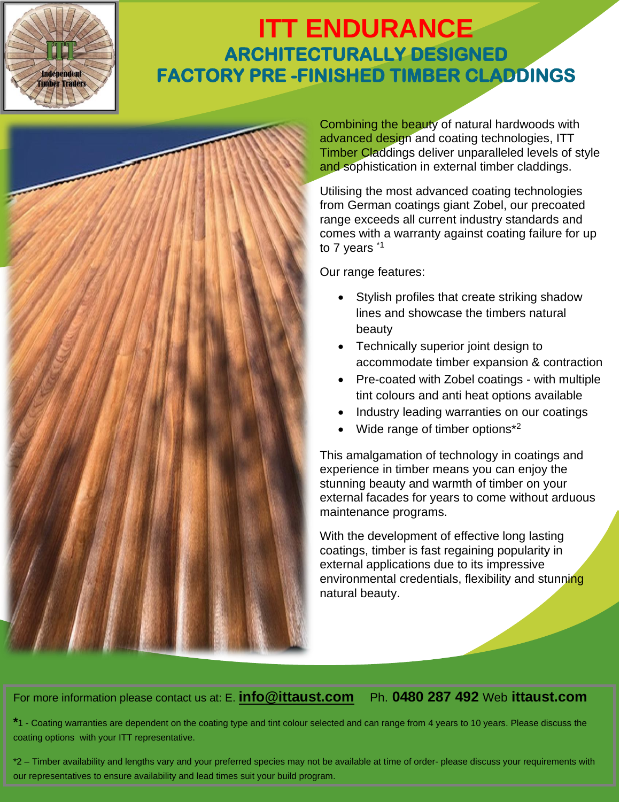## **ITT ENDURANCE ARCHITECTURALLY DESIGNED FACTORY PRE -FINISHED TIMBER CLADDINGS**



Independent **Timber Traders** 

> Combining the beauty of natural hardwoods with advanced design and coating technologies, ITT Timber Claddings deliver unparalleled levels of style and sophistication in external timber claddings.

Utilising the most advanced coating technologies from German coatings giant Zobel, our precoated range exceeds all current industry standards and comes with a warranty against coating failure for up to 7 years \*1

Our range features:

- Stylish profiles that create striking shadow lines and showcase the timbers natural beauty
- Technically superior joint design to accommodate timber expansion & contraction
- Pre-coated with Zobel coatings with multiple tint colours and anti heat options available
- Industry leading warranties on our coatings
- Wide range of timber options $*^2$

This amalgamation of technology in coatings and experience in timber means you can enjoy the stunning beauty and warmth of timber on your external facades for years to come without arduous maintenance programs.

With the development of effective long lasting coatings, timber is fast regaining popularity in external applications due to its impressive environmental credentials, flexibility and stunning natural beauty.

For more information please contact us at: E. **[info@ittaust.com](mailto:info@ittaust.com)** Ph. **0480 287 492** Web **ittaust.com**

**\***1 - Coating warranties are dependent on the coating type and tint colour selected and can range from 4 years to 10 years. Please discuss the coating options with your ITT representative.

\*2 – Timber availability and lengths vary and your preferred species may not be available at time of order- please discuss your requirements with our representatives to ensure availability and lead times suit your build program.